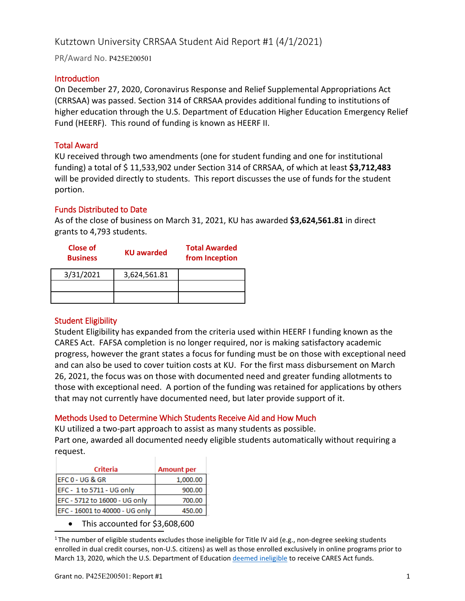# Kutztown University CRRSAA Student Aid Report #1 (4/1/2021)

PR/Award No. P425E200501

### **Introduction**

On December 27, 2020, Coronavirus Response and Relief Supplemental Appropriations Act (CRRSAA) was passed. Section 314 of CRRSAA provides additional funding to institutions of higher education through the U.S. Department of Education Higher Education Emergency Relief Fund (HEERF). This round of funding is known as HEERF II.

# Total Award

KU received through two amendments (one for student funding and one for institutional funding) a total of \$ 11,533,902 under Section 314 of CRRSAA, of which at least **\$3,712,483** will be provided directly to students. This report discusses the use of funds for the student portion.

### Funds Distributed to Date

As of the close of business on March 31, 2021, KU has awarded **\$3,624,561.81** in direct grants to 4,793 students.

| Close of<br><b>Business</b> | <b>KU awarded</b> | <b>Total Awarded</b><br>from Inception |
|-----------------------------|-------------------|----------------------------------------|
| 3/31/2021                   | 3,624,561.81      |                                        |
|                             |                   |                                        |
|                             |                   |                                        |

# Student Eligibility

Student Eligibility has expanded from the criteria used within HEERF I funding known as the CARES Act. FAFSA completion is no longer required, nor is making satisfactory academic progress, however the grant states a focus for funding must be on those with exceptional need and can also be used to cover tuition costs at KU. For the first mass disbursement on March 26, 2021, the focus was on those with documented need and greater funding allotments to those with exceptional need. A portion of the funding was retained for applications by others that may not currently have documented need, but later provide support of it.

# Methods Used to Determine Which Students Receive Aid and How Much

KU utilized a two-part approach to assist as many students as possible. Part one, awarded all documented needy eligible students automatically without requiring a request.

| Criteria                       | <b>Amount per</b> |  |
|--------------------------------|-------------------|--|
| EFC 0 - UG & GR                | 1,000.00          |  |
| EFC - 1 to 5711 - UG only      | 900.00            |  |
| EFC - 5712 to 16000 - UG only  | 700.00            |  |
| EFC - 16001 to 40000 - UG only | 450.00            |  |

• This accounted for \$3,608,600

<sup>1</sup> The number of eligible students excludes those ineligible for Title IV aid (e.g., non-degree seeking students enrolled in dual credit courses, non-U.S. citizens) as well as those enrolled exclusively in online programs prior to March 13, 2020, which the U.S. Department of Educatio[n deemed ineligible](https://www2.ed.gov/about/offices/list/ope/heerfstudentfaqs.pdf) to receive CARES Act funds.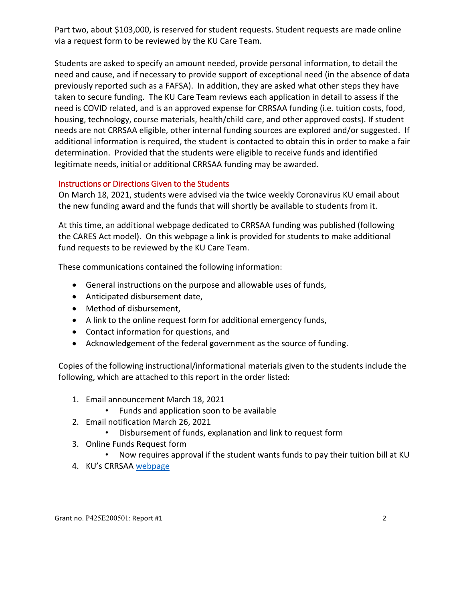Part two, about \$103,000, is reserved for student requests. Student requests are made online via a request form to be reviewed by the KU Care Team.

Students are asked to specify an amount needed, provide personal information, to detail the need and cause, and if necessary to provide support of exceptional need (in the absence of data previously reported such as a FAFSA). In addition, they are asked what other steps they have taken to secure funding. The KU Care Team reviews each application in detail to assess if the need is COVID related, and is an approved expense for CRRSAA funding (i.e. tuition costs, food, housing, technology, course materials, health/child care, and other approved costs). If student needs are not CRRSAA eligible, other internal funding sources are explored and/or suggested. If additional information is required, the student is contacted to obtain this in order to make a fair determination. Provided that the students were eligible to receive funds and identified legitimate needs, initial or additional CRRSAA funding may be awarded.

# Instructions or Directions Given to the Students

On March 18, 2021, students were advised via the twice weekly Coronavirus KU email about the new funding award and the funds that will shortly be available to students from it.

At this time, an additional webpage dedicated to CRRSAA funding was published (following the CARES Act model). On this webpage a link is provided for students to make additional fund requests to be reviewed by the KU Care Team.

These communications contained the following information:

- General instructions on the purpose and allowable uses of funds,
- Anticipated disbursement date,
- Method of disbursement,
- A link to the online request form for additional emergency funds,
- Contact information for questions, and
- Acknowledgement of the federal government as the source of funding.

Copies of the following instructional/informational materials given to the students include the following, which are attached to this report in the order listed:

- 1. Email announcement March 18, 2021
	- Funds and application soon to be available
- 2. Email notification March 26, 2021
	- Disbursement of funds, explanation and link to request form
- 3. Online Funds Request form
	- Now requires approval if the student wants funds to pay their tuition bill at KU
- 4. KU's CRRSAA [webpage](https://www.kutztown.edu/news-and-media/announcements/ku-cares-emergency-assistance/crrsaa-act-2021.html)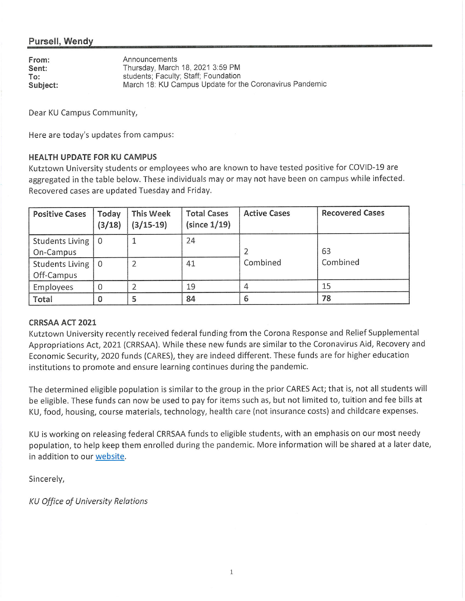# Pursell, Wendy

| From:    | Announcements                                           |
|----------|---------------------------------------------------------|
| Sent:    | Thursday, March 18, 2021 3:59 PM                        |
| To:      | students; Faculty; Staff; Foundation                    |
| Subject: | March 18: KU Campus Update for the Coronavirus Pandemic |

Dear KU Campus Community,

Here are today's updates from campus:

#### **HEALTH UPDATE FOR KU CAMPUS**

Kutztown University students or employees who are known to have tested positive for COVID-19 are aggregated in the table below. These individuals may or may not have been on campus while infected. Recovered cases are updated Tuesday and Friday.

| <b>Positive Cases</b>  | Today<br>(3/18) | <b>This Week</b><br>$(3/15-19)$ | <b>Total Cases</b><br>(since 1/19) | <b>Active Cases</b> | <b>Recovered Cases</b> |
|------------------------|-----------------|---------------------------------|------------------------------------|---------------------|------------------------|
| <b>Students Living</b> | l 0             |                                 | 24                                 |                     |                        |
| On-Campus              |                 |                                 |                                    |                     | 63                     |
| Students Living        |                 |                                 | 41                                 | Combined            | Combined               |
| Off-Campus             |                 |                                 |                                    |                     |                        |
| Employees              |                 |                                 | 19                                 |                     | 15                     |
| Total                  |                 | 5                               | 84                                 | 6                   | 78                     |

#### **CRRSAA ACT 2021**

Kutztown University recently received federal funding from the Corona Response and Relief Supplemental Appropriations Act, 2021 (CRRSAA). While these new funds are similar to the Coronavirus Aid, Recovery and Economic Security, 2020 funds (CARES), they are indeed different. These funds are for higher education institutions to promote and ensure learning continues during the pandemic.

The determined eligible population is similar to the group in the prior CARES Act; that is, not all students will be eligible. These funds can now be used to pay for items such as, but not limited to, tuition and fee bills at KU, food, housing, course materials, technology, health care (not insurance costs) and childcare expenses.

KU is working on releasing federal CRRSAA funds to eligible students, with an emphasis on our most needy population, to help keep them enrolled during the pandemic. More information will be shared at a later date, in addition to our website.

Sincerely,

**KU Office of University Relations**